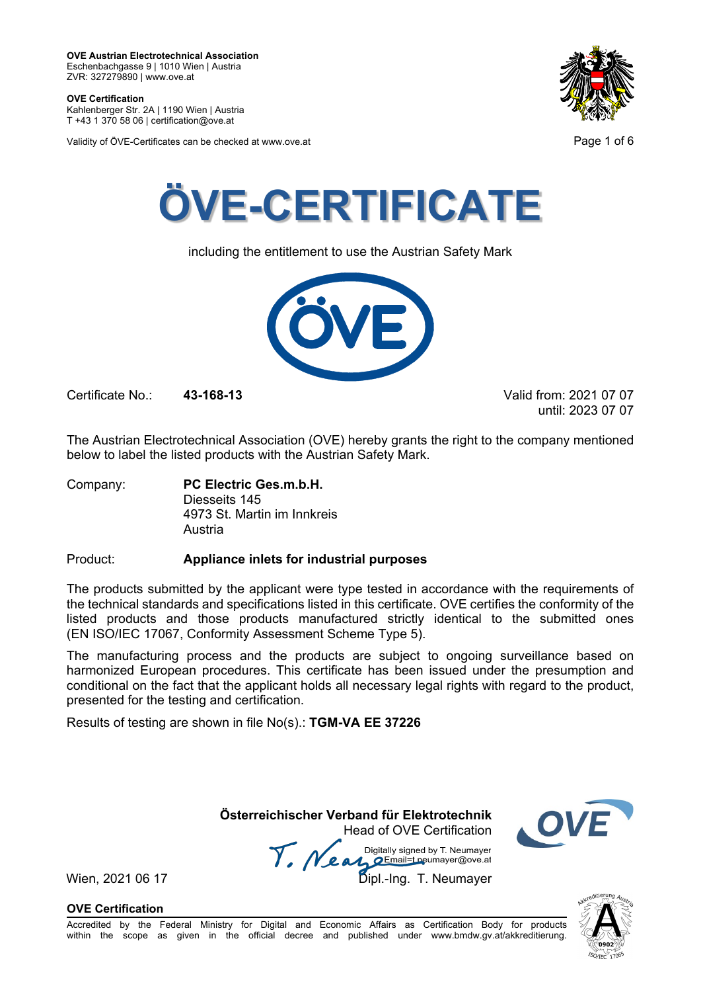**OVE Certification** Kahlenberger Str. 2A | 1190 Wien | Austria

T +43 1 370 58 06 | certification@ove.at

Validity of ÖVE-Certificates can be checked at www.ove.at **Page 1 of 6** 





including the entitlement to use the Austrian Safety Mark



Certificate No.: **43-168-13** Valid from: 2021 07 07

until: 2023 07 07

The Austrian Electrotechnical Association (OVE) hereby grants the right to the company mentioned below to label the listed products with the Austrian Safety Mark.

Company: **PC Electric Ges.m.b.H.** Diesseits 145 4973 St. Martin im Innkreis Austria

Product: **Appliance inlets for industrial purposes**

The products submitted by the applicant were type tested in accordance with the requirements of the technical standards and specifications listed in this certificate. OVE certifies the conformity of the listed products and those products manufactured strictly identical to the submitted ones (EN ISO/IEC 17067, Conformity Assessment Scheme Type 5).

The manufacturing process and the products are subject to ongoing surveillance based on harmonized European procedures. This certificate has been issued under the presumption and conditional on the fact that the applicant holds all necessary legal rights with regard to the product, presented for the testing and certification.

Results of testing are shown in file No(s).: **TGM-VA EE 37226**

 **Österreichischer Verband für Elektrotechnik** Head of OVE Certification

Wien, 2021 06 17 Mean Mariany Signed by Livewingy.<br>Wien, 2021 06 17 Dipl.-Ing. T. Neumayer Digitally signed by T. Neumayer



**OVE Certification**

**SO/JEC** 

Accredited by the Federal Ministry for Digital and Economic Affairs as Certification Body for products within the scope as given in the official decree and published under www.bmdw.gv.at/akkreditierung.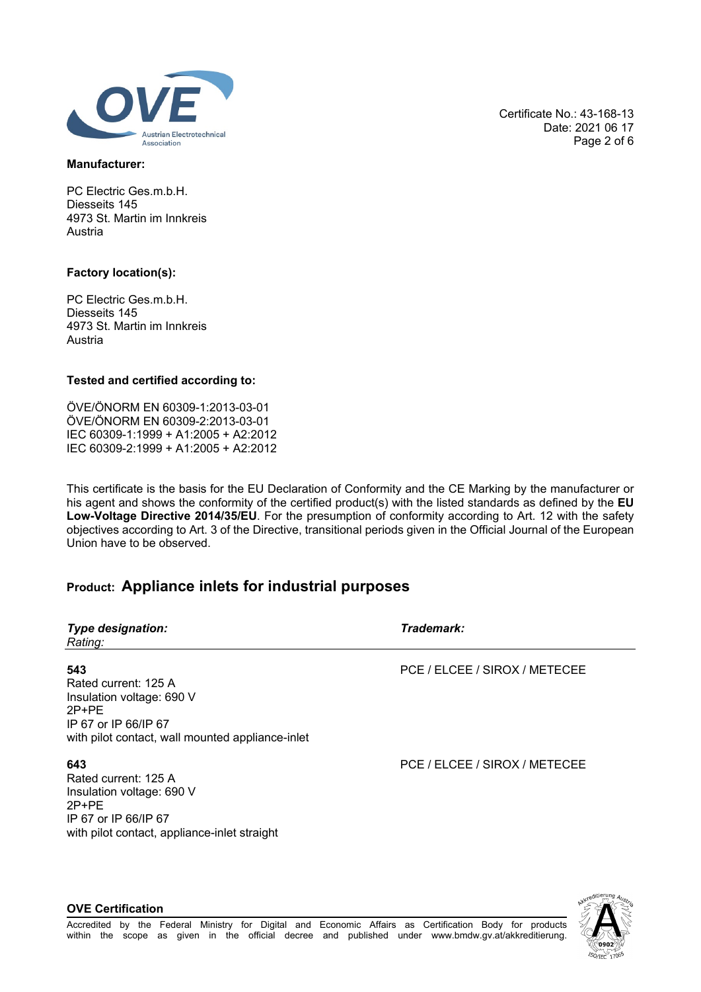

**Manufacturer:**

PC Electric Ges.m.b.H. Diesseits 145 4973 St. Martin im Innkreis Austria

### **Factory location(s):**

PC Electric Ges.m.b.H. Diesseits 145 4973 St. Martin im Innkreis Austria

### **Tested and certified according to:**

ÖVE/ÖNORM EN 60309-1:2013-03-01 ÖVE/ÖNORM EN 60309-2:2013-03-01 IEC 60309-1:1999 + A1:2005 + A2:2012 IEC 60309-2:1999 + A1:2005 + A2:2012

This certificate is the basis for the EU Declaration of Conformity and the CE Marking by the manufacturer or his agent and shows the conformity of the certified product(s) with the listed standards as defined by the **EU Low-Voltage Directive 2014/35/EU**. For the presumption of conformity according to Art. 12 with the safety objectives according to Art. 3 of the Directive, transitional periods given in the Official Journal of the European Union have to be observed.

# **Product: Appliance inlets for industrial purposes**

| <b>Type designation:</b><br>Rating:                                                                                                             | Trademark:                    |
|-------------------------------------------------------------------------------------------------------------------------------------------------|-------------------------------|
| 543<br>Rated current: 125 A<br>Insulation voltage: 690 V<br>$2P+PE$<br>IP 67 or IP 66/IP 67<br>with pilot contact, wall mounted appliance-inlet | PCE / ELCEE / SIROX / METECEE |
| 643<br>Rated current: 125 A<br>Insulation voltage: 690 V<br>$2P+PE$<br>IP 67 or IP 66/IP 67<br>with pilot contact, appliance-inlet straight     | PCE / ELCEE / SIROX / METECEE |

**ISO/IEC** 

Certificate No.: 43-168-13

Date: 2021 06 17 Page 2 of 6

### **OVE Certification**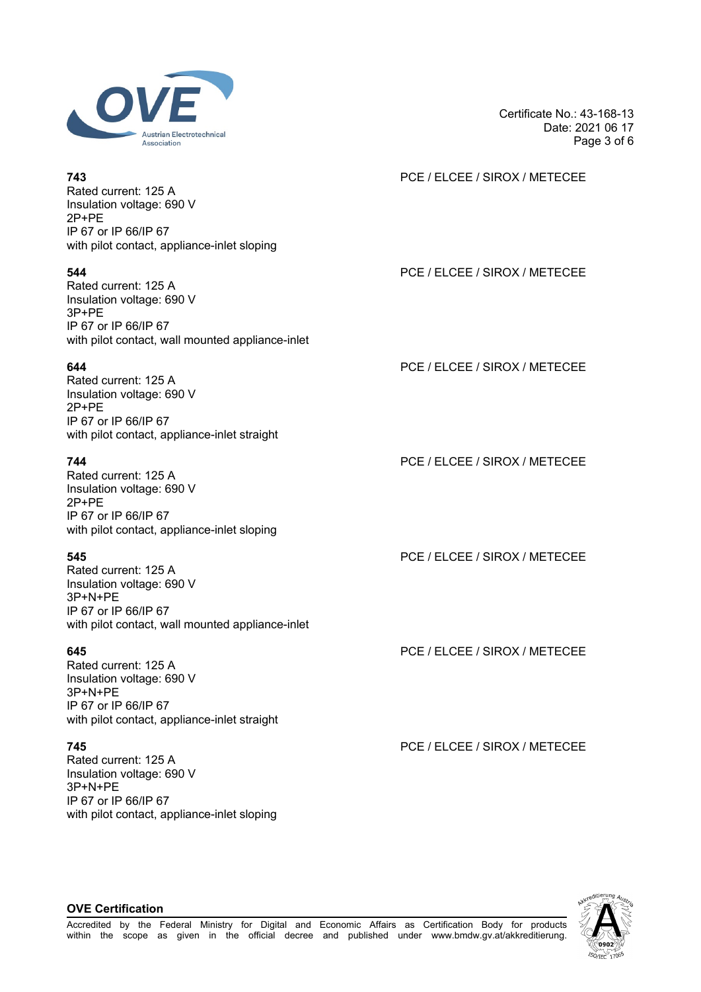

Rated current: 125 A Insulation voltage: 690 V 2P+PE IP 67 or IP 66/IP 67 with pilot contact, appliance-inlet sloping

Rated current: 125 A Insulation voltage: 690 V 3P+PE IP 67 or IP 66/IP 67 with pilot contact, wall mounted appliance-inlet

Rated current: 125 A Insulation voltage: 690 V 2P+PE IP 67 or IP 66/IP 67 with pilot contact, appliance-inlet straight

Rated current: 125 A Insulation voltage: 690 V 2P+PE IP 67 or IP 66/IP 67 with pilot contact, appliance-inlet sloping

Rated current: 125 A Insulation voltage: 690 V 3P+N+PE IP 67 or IP 66/IP 67 with pilot contact, wall mounted appliance-inlet

Rated current: 125 A Insulation voltage: 690 V 3P+N+PE IP 67 or IP 66/IP 67 with pilot contact, appliance-inlet straight

Rated current: 125 A Insulation voltage: 690 V 3P+N+PE IP 67 or IP 66/IP 67 with pilot contact, appliance-inlet sloping Certificate No.: 43-168-13 Date: 2021 06 17 Page 3 of 6

# **743** PCE / ELCEE / SIROX / METECEE

# **544** PCE / ELCEE / SIROX / METECEE

**644** PCE / ELCEE / SIROX / METECEE

**744** PCE / ELCEE / SIROX / METECEE

**545** PCE / ELCEE / SIROX / METECEE

**645** PCE / ELCEE / SIROX / METECEE

**745** PCE / ELCEE / SIROX / METECEE



### **OVE Certification**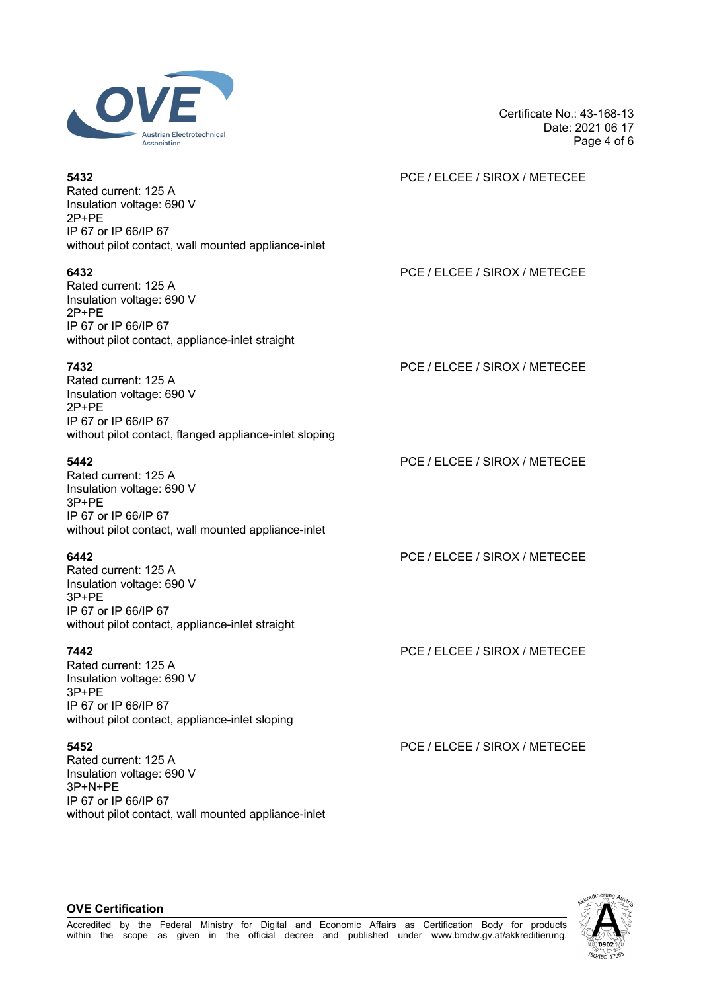

Rated current: 125 A Insulation voltage: 690 V 2P+PE IP 67 or IP 66/IP 67 without pilot contact, wall mounted appliance-inlet

Rated current: 125 A Insulation voltage: 690 V 2P+PE IP 67 or IP 66/IP 67 without pilot contact, appliance-inlet straight

Rated current: 125 A Insulation voltage: 690 V 2P+PE IP 67 or IP 66/IP 67 without pilot contact, flanged appliance-inlet sloping

Rated current: 125 A Insulation voltage: 690 V 3P+PE IP 67 or IP 66/IP 67 without pilot contact, wall mounted appliance-inlet

Rated current: 125 A Insulation voltage: 690 V 3P+PE IP 67 or IP 66/IP 67 without pilot contact, appliance-inlet straight

Rated current: 125 A Insulation voltage: 690 V 3P+PE IP 67 or IP 66/IP 67 without pilot contact, appliance-inlet sloping

Rated current: 125 A Insulation voltage: 690 V 3P+N+PE IP 67 or IP 66/IP 67 without pilot contact, wall mounted appliance-inlet Certificate No.: 43-168-13 Date: 2021 06 17 Page 4 of 6

## **5432** PCE / ELCEE / SIROX / METECEE

**6432** PCE / ELCEE / SIROX / METECEE

**7432** PCE / ELCEE / SIROX / METECEE

**5442** PCE / ELCEE / SIROX / METECEE

**6442** PCE / ELCEE / SIROX / METECEE

**7442** PCE / ELCEE / SIROX / METECEE

**5452** PCE / ELCEE / SIROX / METECEE

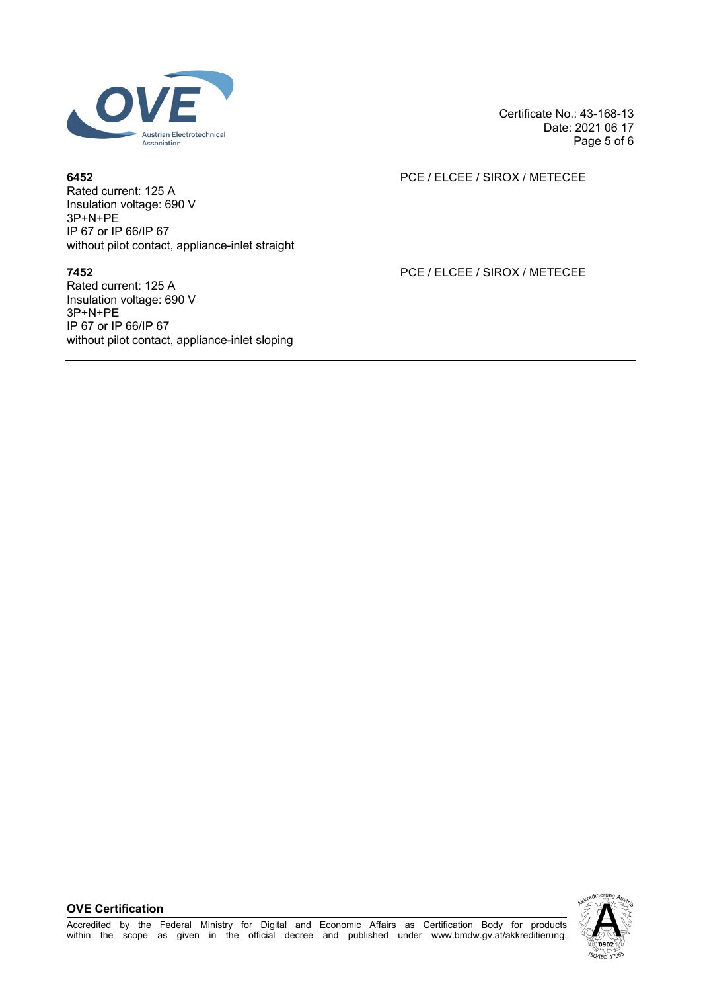

Rated current: 125 A Insulation voltage: 690 V 3P+N+PE IP 67 or IP 66/IP 67 without pilot contact, appliance-inlet straight

Rated current: 125 A Insulation voltage: 690 V 3P+N+PE IP 67 or IP 66/IP 67 without pilot contact, appliance-inlet sloping Certificate No.: 43-168-13 Date: 2021 06 17 Page 5 of 6

# **6452** PCE / ELCEE / SIROX / METECEE

**7452** PCE / ELCEE / SIROX / METECEE

**OVE Certification**